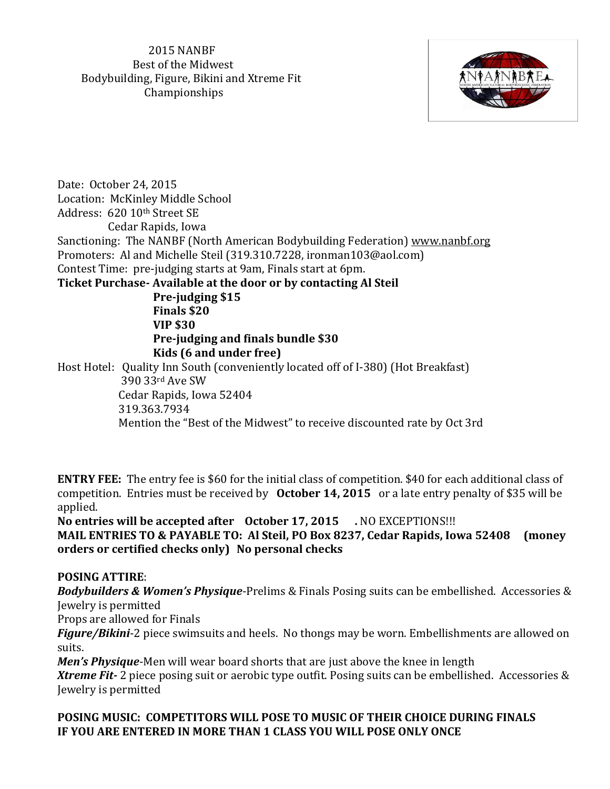2015 NANBF Best of the Midwest Bodybuilding, Figure, Bikini and Xtreme Fit Championships



Date: October 24, 2015 Location: McKinley Middle School Address: 620 10th Street SE Cedar Rapids, Iowa Sanctioning: The NANBF (North American Bodybuilding Federation) [www.nanbf.org](http://www.nanbf.org/) Promoters: Al and Michelle Steil (319.310.7228, ironman103@aol.com) Contest Time: pre-judging starts at 9am, Finals start at 6pm. **Ticket Purchase- Available at the door or by contacting Al Steil Pre-judging \$15 Finals \$20 VIP \$30 Pre-judging and finals bundle \$30 Kids (6 and under free)** Host Hotel: Quality Inn South (conveniently located off of I-380) (Hot Breakfast) 390 33rd Ave SW Cedar Rapids, Iowa 52404 319.363.7934 Mention the "Best of the Midwest" to receive discounted rate by Oct 3rd

**ENTRY FEE:** The entry fee is \$60 for the initial class of competition. \$40 for each additional class of competition. Entries must be received by **October 14, 2015** or a late entry penalty of \$35 will be applied.

**No entries will be accepted after October 17, 2015 .** NO EXCEPTIONS!!! **MAIL ENTRIES TO & PAYABLE TO: Al Steil, PO Box 8237, Cedar Rapids, Iowa 52408 (money orders or certified checks only) No personal checks**

## **POSING ATTIRE**:

*Bodybuilders & Women's Physique*-Prelims & Finals Posing suits can be embellished. Accessories & Jewelry is permitted

Props are allowed for Finals

*Figure/Bikini*-2 piece swimsuits and heels. No thongs may be worn. Embellishments are allowed on suits.

*Men's Physique*-Men will wear board shorts that are just above the knee in length

*Xtreme Fit-* 2 piece posing suit or aerobic type outfit. Posing suits can be embellished. Accessories & Jewelry is permitted

### **POSING MUSIC: COMPETITORS WILL POSE TO MUSIC OF THEIR CHOICE DURING FINALS IF YOU ARE ENTERED IN MORE THAN 1 CLASS YOU WILL POSE ONLY ONCE**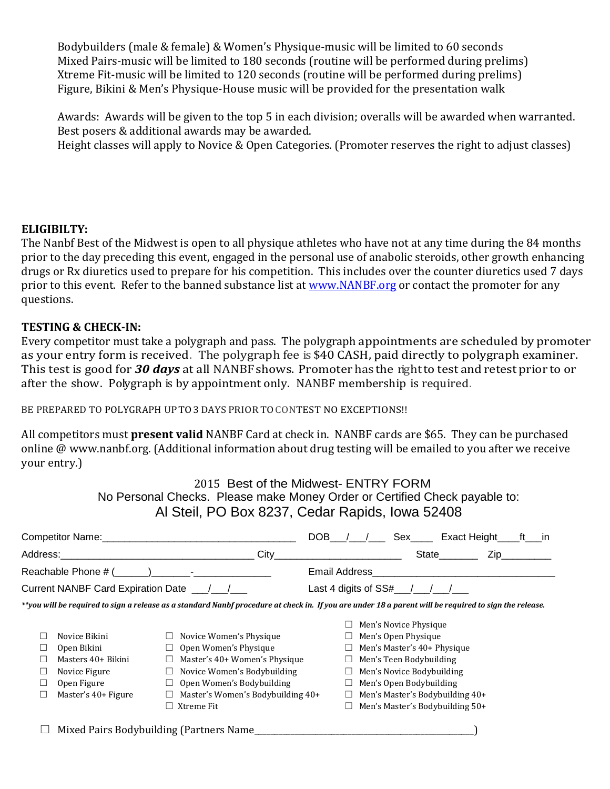Bodybuilders (male & female) & Women's Physique-music will be limited to 60 seconds Mixed Pairs-music will be limited to 180 seconds (routine will be performed during prelims) Xtreme Fit-music will be limited to 120 seconds (routine will be performed during prelims) Figure, Bikini & Men's Physique-House music will be provided for the presentation walk

Awards: Awards will be given to the top 5 in each division; overalls will be awarded when warranted. Best posers & additional awards may be awarded.

Height classes will apply to Novice & Open Categories. (Promoter reserves the right to adjust classes)

#### **ELIGIBILTY:**

The Nanbf Best of the Midwest is open to all physique athletes who have not at any time during the 84 months prior to the day preceding this event, engaged in the personal use of anabolic steroids, other growth enhancing drugs or Rx diuretics used to prepare for his competition. This includes over the counter diuretics used 7 days prior to this event. Refer to the banned substance list at [www.NANBF.org](http://www.nanbf.org/) or contact the promoter for any questions.

#### **TESTING & CHECK-IN:**

Every competitor must take a polygraph and pass. The polygraph appointments are scheduled by promoter as your entry form is received. The polygraph fee is \$40 CASH, paid directly to polygraph examiner. This test is good for *30 days* at all NANBFshows. Promoter has the rightto test and retest prior to or after the show. Polygraph is by appointment only. NANBF membership is required.

BE PREPARED TO POLYGRAPH UPTO3DAYS PRIOR TOCONTEST NO EXCEPTIONS!!

All competitors must **present valid** NANBF Card at check in. NANBF cards are \$65. They can be purchased online @ www.nanbf.org. (Additional information about drug testing will be emailed to you after we receive your entry.)

> 2015 Best of the Midwest- ENTRY FORM No Personal Checks. Please make Money Order or Certified Check payable to: Al Steil, PO Box 8237, Cedar Rapids, Iowa 52408

| Competitor Name: Competitor Name:                                                                                                                      |                                         |                                   |                                                                                   |                              |  | Sex                              |                                    | Exact Height |  | ft in |  |
|--------------------------------------------------------------------------------------------------------------------------------------------------------|-----------------------------------------|-----------------------------------|-----------------------------------------------------------------------------------|------------------------------|--|----------------------------------|------------------------------------|--------------|--|-------|--|
|                                                                                                                                                        |                                         | City                              | and the state of the state of the state of the state of the state of the state of |                              |  |                                  | State                              | Zip          |  |       |  |
| Reachable Phone $\#$ ( ) - The set of $\Box$                                                                                                           |                                         |                                   | Email Address<br><u> 1980 - Jan Barat, martin da shekara tsa n</u>                |                              |  |                                  |                                    |              |  |       |  |
|                                                                                                                                                        |                                         |                                   |                                                                                   | Last 4 digits of $SS#$ / / / |  |                                  |                                    |              |  |       |  |
| **you will be required to sign a release as a standard Nanbf procedure at check in. If you are under 18 a parent will be required to sign the release. |                                         |                                   |                                                                                   |                              |  |                                  |                                    |              |  |       |  |
|                                                                                                                                                        |                                         |                                   |                                                                                   |                              |  | Men's Novice Physique            |                                    |              |  |       |  |
|                                                                                                                                                        | Novice Bikini                           | Novice Women's Physique           |                                                                                   |                              |  | $\Box$ Men's Open Physique       |                                    |              |  |       |  |
|                                                                                                                                                        | Open Bikini                             | Open Women's Physique             |                                                                                   |                              |  |                                  | $\Box$ Men's Master's 40+ Physique |              |  |       |  |
|                                                                                                                                                        | Masters 40+ Bikini                      | Master's 40+ Women's Physique     |                                                                                   |                              |  | $\Box$ Men's Teen Bodybuilding   |                                    |              |  |       |  |
| ⊔                                                                                                                                                      | Novice Figure                           | Novice Women's Bodybuilding<br>⊔  |                                                                                   |                              |  | $\Box$ Men's Novice Bodybuilding |                                    |              |  |       |  |
| Ш                                                                                                                                                      | Open Figure                             | Open Women's Bodybuilding         |                                                                                   |                              |  | $\Box$ Men's Open Bodybuilding   |                                    |              |  |       |  |
|                                                                                                                                                        | Master's 40+ Figure                     | Master's Women's Bodybuilding 40+ |                                                                                   |                              |  |                                  | Men's Master's Bodybuilding 40+    |              |  |       |  |
|                                                                                                                                                        |                                         | Xtreme Fit                        |                                                                                   |                              |  |                                  | Men's Master's Bodybuilding 50+    |              |  |       |  |
|                                                                                                                                                        | Mixed Pairs Bodybuilding (Partners Name |                                   |                                                                                   |                              |  |                                  |                                    |              |  |       |  |